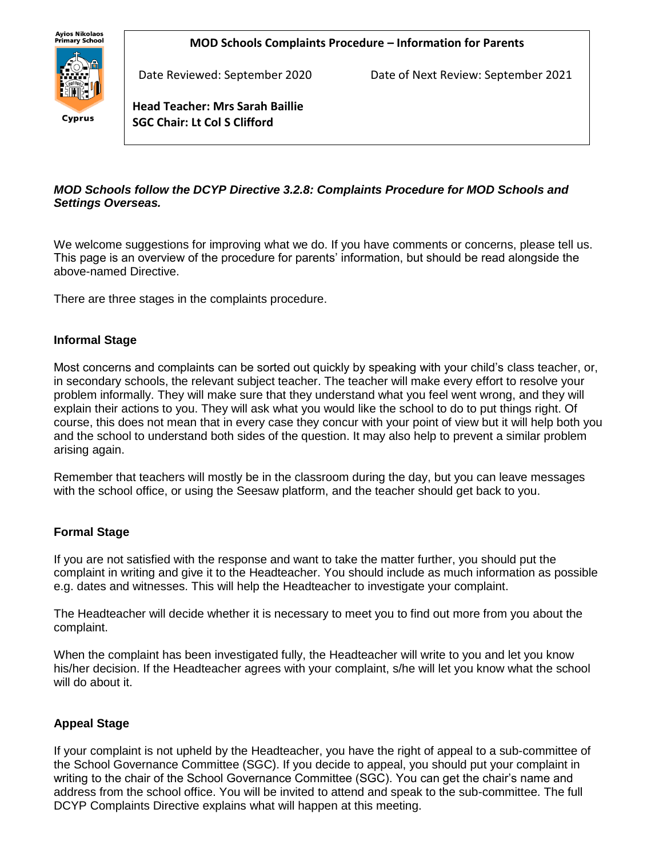**MOD Schools Complaints Procedure – Information for Parents**



Cyprus

Date Reviewed: September 2020 Date of Next Review: September 2021

**Head Teacher: Mrs Sarah Baillie SGC Chair: Lt Col S Clifford**

# *MOD Schools follow the DCYP Directive 3.2.8: Complaints Procedure for MOD Schools and Settings Overseas.*

We welcome suggestions for improving what we do. If you have comments or concerns, please tell us. This page is an overview of the procedure for parents' information, but should be read alongside the above-named Directive.

There are three stages in the complaints procedure.

## **Informal Stage**

Most concerns and complaints can be sorted out quickly by speaking with your child's class teacher, or, in secondary schools, the relevant subject teacher. The teacher will make every effort to resolve your problem informally. They will make sure that they understand what you feel went wrong, and they will explain their actions to you. They will ask what you would like the school to do to put things right. Of course, this does not mean that in every case they concur with your point of view but it will help both you and the school to understand both sides of the question. It may also help to prevent a similar problem arising again.

Remember that teachers will mostly be in the classroom during the day, but you can leave messages with the school office, or using the Seesaw platform, and the teacher should get back to you.

## **Formal Stage**

If you are not satisfied with the response and want to take the matter further, you should put the complaint in writing and give it to the Headteacher. You should include as much information as possible e.g. dates and witnesses. This will help the Headteacher to investigate your complaint.

The Headteacher will decide whether it is necessary to meet you to find out more from you about the complaint.

When the complaint has been investigated fully, the Headteacher will write to you and let you know his/her decision. If the Headteacher agrees with your complaint, s/he will let you know what the school will do about it.

## **Appeal Stage**

If your complaint is not upheld by the Headteacher, you have the right of appeal to a sub-committee of the School Governance Committee (SGC). If you decide to appeal, you should put your complaint in writing to the chair of the School Governance Committee (SGC). You can get the chair's name and address from the school office. You will be invited to attend and speak to the sub-committee. The full DCYP Complaints Directive explains what will happen at this meeting.